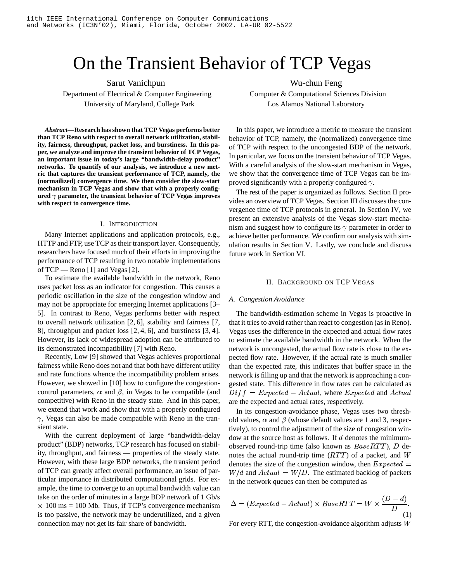# On the Transient Behavior of TCP Vegas

Department of Electrical & Computer Engineering Computer & Computational Sciences Division University of Maryland, College Park Los Alamos National Laboratory

*Abstract***—Research has shown that TCP Vegas performs better than TCP Reno with respect to overall network utilization, stability, fairness, throughput, packet loss, and burstiness. In this paper, we analyze and improve the transient behavior of TCP Vegas, an important issue in today's large "bandwidth-delay product" networks. To quantify of our analysis, we introduce a new metric that captures the transient performance of TCP, namely, the (normailized) convergence time. We then consider the slow-start mechanism in TCP Vegas and show that with a properly configured**  $\gamma$  parameter, the transient behavior of TCP Vegas improves **with respect to convergence time.**

## I. INTRODUCTION

Many Internet applications and application protocols, e.g., HTTP and FTP, use TCP as their transport layer. Consequently, researchers have focused much of their efforts in improving the performance of TCP resulting in two notable implementations of TCP — Reno [1] and Vegas [2].

To estimate the available bandwidth in the network, Reno uses packet loss as an indicator for congestion. This causes a periodic oscillation in the size of the congestion window and may not be appropriate for emerging Internet applications [3– 5]. In contrast to Reno, Vegas performs better with respect to overall network utilization [2, 6], stability and fairness [7, 8], throughput and packet loss [2, 4, 6], and burstiness [3, 4]. However, its lack of widespread adoption can be attributed to its demonstrated incompatibility [7] with Reno.

Recently, Low [9] showed that Vegas achieves proportional fairness while Reno does not and that both have different utility and rate functions whence the incompatibility problem arises. However, we showed in [10] how to configure the congestioncontrol parameters,  $\alpha$  and  $\beta$ , in Vegas to be compatible (and competitive) with Reno in the steady state. And in this paper, we extend that work and show that with a properly configured  $\gamma$ , Vegas can also be made compatible with Reno in the transient state.

With the current deployment of large "bandwidth-delay product" (BDP) networks, TCP research has focused on stability, throughput, and fairness — properties of the steady state. However, with these large BDP networks, the transient period of TCP can greatly affect overall performance, an issue of particular importance in distributed computational grids. For example, the time to converge to an optimal bandwidth value can take on the order of minutes in a large BDP network of 1 Gb/s  $\times$  100 ms = 100 Mb. Thus, if TCP's convergence mechanism is too passive, the network may be underutilized, and a given connection may not get its fair share of bandwidth.

Sarut Vanichpun Wu-chun Feng

In this paper, we introduce a metric to measure the transient behavior of TCP, namely, the (normalized) convergence time of TCP with respect to the uncongested BDP of the network. In particular, we focus on the transient behavior of TCP Vegas. With a careful analysis of the slow-start mechanism in Vegas, we show that the convergence time of TCP Vegas can be improved significantly with a properly configured  $\gamma$ .

The rest of the paper is organized as follows. Section II provides an overview of TCP Vegas. Section III discusses the convergence time of TCP protocols in general. In Section IV, we present an extensive analysis of the Vegas slow-start mechanism and suggest how to configure its  $\gamma$  parameter in order to achieve better performance. We confirm our analysis with simulation results in Section V. Lastly, we conclude and discuss future work in Section VI.

# II. BACKGROUND ON TCP VEGAS

# *A. Congestion Avoidance*

The bandwidth-estimation scheme in Vegas is proactive in that it tries to avoid rather than react to congestion (as in Reno). Vegas uses the difference in the expected and actual flow rates to estimate the available bandwidth in the network. When the network is uncongested, the actual flow rate is close to the expected flow rate. However, if the actual rate is much smaller than the expected rate, this indicates that buffer space in the network is filling up and that the network is approaching a congested state. This difference in flow rates can be calculated as  $Diff = Expected - Actual$ , where  $Expected$  and  $Actual$ are the expected and actual rates, respectively.

In its congestion-avoidance phase, Vegas uses two threshold values,  $\alpha$  and  $\beta$  (whose default values are 1 and 3, respectively), to control the adjustment of the size of congestion window at the source host as follows. If  $d$  denotes the minimumobserved round-trip time (also known as  $BaseRTT$ ), D denotes the actual round-trip time  $(RTT)$  of a packet, and W denotes the size of the congestion window, then  $Expected =$  $W/d$  and  $Actual = W/D$ . The estimated backlog of packets in the network queues can then be computed as

$$
\Delta = (Expected - Actual) \times BaseRTT = W \times \frac{(D - d)}{D}.
$$
\n(1)

For every RTT, the congestion-avoidance algorithm adjusts  $W$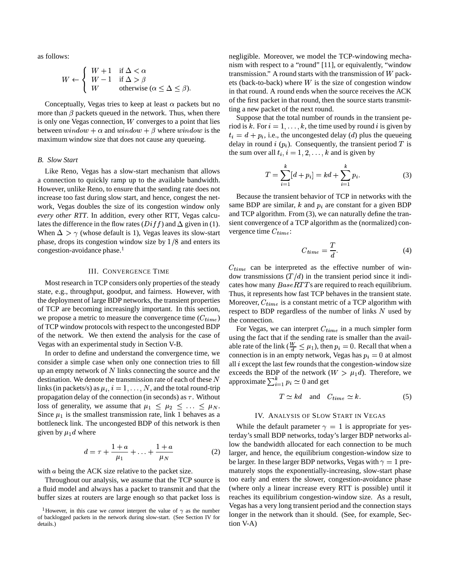as follows:

$$
W \leftarrow \begin{cases} W + 1 & \text{if } \Delta < \alpha \\ W - 1 & \text{if } \Delta > \beta \\ W & \text{otherwise } (\alpha \leq \Delta \leq \beta). \end{cases}
$$

Conceptually, Vegas tries to keep at least  $\alpha$  packets but no more than  $\beta$  packets queued in the network. Thus, when there is only one Vegas connection,  $W$  converges to a point that lies between  $window + \alpha$  and  $window + \beta$  where  $window$  is the maximum window size that does not cause any queueing.

# *B. Slow Start*

Like Reno, Vegas has a slow-start mechanism that allows a connection to quickly ramp up to the available bandwidth. However, unlike Reno, to ensure that the sending rate does not increase too fast during slow start, and hence, congest the network, Vegas doubles the size of its congestion window only *every other RTT*. In addition, every other RTT, Vegas calculates the difference in the flow rates  $(Diff)$  and  $\Delta$  given in (1). So When  $\Delta > \gamma$  (whose default is 1), Vegas leaves its slow-start phase, drops its congestion window size by  $1/8$  and enters its congestion-avoidance phase.<sup>1</sup>

# III. CONVERGENCE TIME

Most research in TCP considers only properties of the steady state, e.g., throughput, goodput, and fairness. However, with the deployment of large BDP networks, the transient properties of TCP are becoming increasingly important. In this section, we propose a metric to measure the convergence time  $(C_{time})$ of TCP window protocols with respect to the uncongested BDP of the network. We then extend the analysis for the case of Vegas with an experimental study in Section V-B.

In order to define and understand the convergence time, we consider a simple case when only one connection tries to fill up an empty network of  $N$  links connecting the source and the destination. We denote the transmission rate of each of these  $N$ links (in packets/s) as  $\mu_i$ ,  $i = 1, ..., N$ , and the total round-trip propagation delay of the connection (in seconds) as  $\tau$ . Without loss of generality, we assume that  $\mu_1 \leq \mu_2 \leq \ldots \leq \mu_N$ . Since  $\mu_1$  is the smallest transmission rate, link 1 behaves as a bottleneck link. The uncongested BDP of this network is then given by  $\mu_1 d$  where

$$
d = \tau + \frac{1+a}{\mu_1} + \ldots + \frac{1+a}{\mu_N} \tag{2}
$$

with  $a$  being the ACK size relative to the packet size.

Throughout our analysis, we assume that the TCP source is a fluid model and always has a packet to transmit and that the buffer sizes at routers are large enough so that packet loss is negligible. Moreover, we model the TCP-windowing mechanism with respect to a "round" [11], or equivalently, "window transmission." A round starts with the transmission of  $W$  packets (back-to-back) where  $W$  is the size of congestion window in that round. A round ends when the source receives the ACK of the first packet in that round, then the source starts transmitting a new packet of the next round.

Suppose that the total number of rounds in the transient period is k. For  $i = 1, \ldots, k$ , the time used by round i is given by  $t_i = d + p_i$ , i.e., the uncongested delay (d) plus the queueing delay in round  $i$  ( $p_i$ ). Consequently, the transient period T is the sum over all  $t_i$ ,  $i = 1, 2, \ldots, k$  and is given by

$$
T = \sum_{i=1}^{k} [d + p_i] = kd + \sum_{i=1}^{k} p_i.
$$
 (3)

Because the transient behavior of TCP in networks with the same BDP are similar,  $k$  and  $p_i$  are constant for a given BDP and TCP algorithm. From (3), we can naturally define the transient convergence of a TCP algorithm as the (normalized) convergence time  $C_{time}$ :

$$
C_{time} = \frac{T}{d}.\tag{4}
$$

 $C_{time}$  can be interpreted as the effective number of window transmissions  $(T/d)$  in the transient period since it indicates how many  $BaseRTT$ s are required to reach equilibrium. Thus, it represents how fast TCP behaves in the transient state. Moreover,  $C_{time}$  is a constant metric of a TCP algorithm with respect to BDP regardless of the number of links  $N$  used by the connection.

For Vegas, we can interpret  $C_{time}$  in a much simpler form using the fact that if the sending rate is smaller than the available rate of the link ( $\frac{W}{d} \leq \mu_1$ ), then  $p_i = 0$ . Recall that when a connection is in an empty network, Vegas has  $p_i = 0$  at almost all  $i$  except the last few rounds that the congestion-window size exceeds the BDP of the network  $(W > \mu_1 d)$ . Therefore, we approximate  $\sum_{i=1}^{k} p_i \simeq 0$  and get

$$
T \simeq kd \quad \text{and} \quad C_{time} \simeq k. \tag{5}
$$

## IV. ANALYSIS OF SLOW START IN VEGAS

While the default parameter  $\gamma = 1$  is appropriate for yesterday's small BDP networks, today's larger BDP networks allow the bandwidth allocated for each connection to be much larger, and hence, the equilibrium congestion-window size to be larger. In these larger BDP networks, Vegas with  $\gamma = 1$  prematurely stops the exponentially-increasing, slow-start phase too early and enters the slower, congestion-avoidance phase (where only a linear increase every RTT is possible) until it reaches its equilibrium congestion-window size. As a result, Vegas has a very long transient period and the connection stays longer in the network than it should. (See, for example, Section V-A)

<sup>&</sup>lt;sup>1</sup>However, in this case we *cannot* interpret the value of  $\gamma$  as the number of backlogged packets in the network during slow-start. (See Section IV for details.)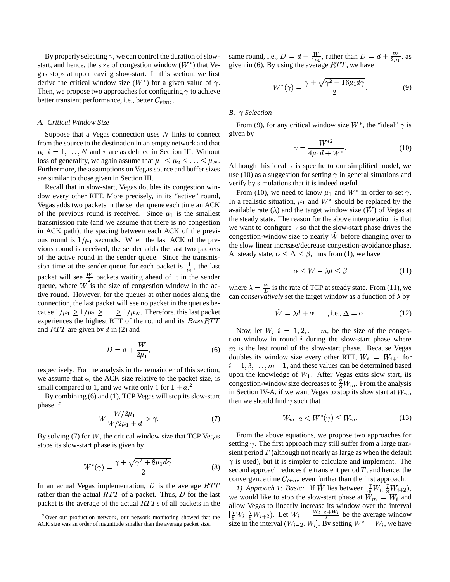By properly selecting  $\gamma$ , we can control the duration of slowstart, and hence, the size of congestion window  $(W^*)$  that Vegas stops at upon leaving slow-start. In this section, we first derive the critical window size  $(W^*)$  for a given value of  $\gamma$ . Then, we propose two approaches for configuring  $\gamma$  to achieve better transient performance, i.e., better  $C_{time}$ .

# *A. Critical Window Size*

Suppose that a Vegas connection uses  $N$  links to connect from the source to the destination in an empty network and that  $\mu_i, i = 1, \dots, N$  and  $\tau$  are as defined in Section III. Without loss of generality, we again assume that  $\mu_1 \leq \mu_2 \leq \ldots \leq \mu_N$ . Furthermore, the assumptions on Vegas source and buffer sizes are similar to those given in Section III.

Recall that in slow-start, Vegas doubles its congestion window every other RTT. More precisely, in its "active" round, Vegas adds two packets in the sender queue each time an ACK of the previous round is received. Since  $\mu_1$  is the smallest transmission rate (and we assume that there is no congestion in ACK path), the spacing between each ACK of the previous round is  $1/\mu_1$  seconds. When the last ACK of the previous round is received, the sender adds the last two packets of the active round in the sender queue. Since the transmission time at the sender queue for each packet is  $\frac{1}{u}$ , the last packet will see  $\frac{W}{2}$  packets waiting ahead of it in the sender queue, where  $W$  is the size of congestion window in the active round. However, for the queues at other nodes along the connection, the last packet will see no packet in the queues because  $1/\mu_1 \geq 1/\mu_2 \geq \ldots \geq 1/\mu_N$ . Therefore, this last packet experiences the highest RTT of the round and its  $BaseRTT$ and  $RTT$  are given by d in (2) and

$$
D = d + \frac{W}{2\mu_1},\tag{6}
$$

respectively. For the analysis in the remainder of this section, we assume that  $a$ , the ACK size relative to the packet size, is small compared to 1, and we write only 1 for  $1 + a$ <sup>2</sup>

By combining (6) and (1), TCP Vegas will stop its slow-start phase if

$$
W\frac{W/2\mu_1}{W/2\mu_1+d} > \gamma.
$$
\n<sup>(7)</sup>

By solving  $(7)$  for W, the critical window size that TCP Vegas stops its slow-start phase is given by

$$
W^*(\gamma) = \frac{\gamma + \sqrt{\gamma^2 + 8\mu_1 d\gamma}}{2}.
$$
 (8)

In an actual Vegas implementation, D is the average  $RTT = 1.0$  Approx rather than the actual  $RTT$  of a packet. Thus, D for the last  $\mathbf{w}$ packet is the average of the actual  $RTT$ s of all packets in the

same round, i.e.,  $D = d + \frac{W}{4\mu}$ , rather than  $D = d + \frac{W}{2\mu}$ , as given in (6). By using the average  $RTT$ , we have

$$
W^*(\gamma) = \frac{\gamma + \sqrt{\gamma^2 + 16\mu_1 d\gamma}}{2}.
$$
 (9)

# *B. Selection*

From (9), for any critical window size  $W^*$ , the "ideal"  $\gamma$  is given by

$$
\gamma = \frac{W^{*2}}{4\mu_1 d + W^*}.\tag{10}
$$

Although this ideal  $\gamma$  is specific to our simplified model, we use (10) as a suggestion for setting  $\gamma$  in general situations and verify by simulations that it is indeed useful.

From (10), we need to know  $\mu_1$  and  $W^*$  in order to set  $\gamma$ . In a realistic situation,  $\mu_1$  and  $W^*$  should be replaced by the available rate ( $\lambda$ ) and the target window size ( $\hat{W}$ ) of Vegas at the steady state. The reason for the above interpretation is that we want to configure  $\gamma$  so that the slow-start phase drives the congestion-window size to nearly  $W$  before changing over to the slow linear increase/decrease congestion-avoidance phase. At steady state,  $\alpha \leq \Delta \leq \beta$ , thus from (1), we have

$$
\alpha \le W - \lambda d \le \beta \tag{11}
$$

where  $\lambda = \frac{W}{D}$  is the rate of TCP at steady state. From (11), we can *conservatively* set the target window as a function of  $\lambda$  by

$$
\tilde{W} = \lambda d + \alpha \qquad \text{, i.e., } \Delta = \alpha. \tag{12}
$$

Now, let  $W_i$ ,  $i = 1, 2, \ldots, m$ , be the size of the congestion window in round  $i$  during the slow-start phase where  $m$  is the last round of the slow-start phase. Because Vegas doubles its window size every other RTT,  $W_i = W_{i+1}$  for  $i = 1, 3, \dots, m - 1$ , and these values can be determined based upon the knowledge of  $W_1$ . After Vegas exits slow start, its congestion-window size decreases to  $\frac{7}{8}W_m$ . From the analysis in Section IV-A, if we want Vegas to stop its slow start at  $W_m$ , then we should find  $\gamma$  such that

$$
W_{m-2} < W^*(\gamma) \le W_m. \tag{13}
$$

From the above equations, we propose two approaches for setting  $\gamma$ . The first approach may still suffer from a large transient period  $T$  (although not nearly as large as when the default  $\gamma$  is used), but it is simpler to calculate and implement. The second approach reduces the transient period  $T$ , and hence, the convergence time  $C_{time}$  even further than the first approach.

*1) Approach 1: Basic:* If *W* lies between  $\left[\frac{7}{8}W_i, \frac{7}{8}W_{i+2}\right)$ , we would like to stop the slow-start phase at  $W_m = W_i$  and allow Vegas to linearly increase its window over the interval  $\left[\frac{1}{8}W_i,\frac{7}{8}W_{i+2}\right]$ . Let  $W_i = \frac{W_i-2+W_i}{2}$  be the average window<br>size in the interval (W<sub>in</sub> W<sub>i</sub>) By setting  $W^* - \overline{W}$ , we have size in the interval  $(W_{i-2}, W_i]$ . By setting  $W^* = W_i$ , we have

 $2$ Over our production network, our network monitoring showed that the ACK size was an order of magnitude smaller than the average packet size.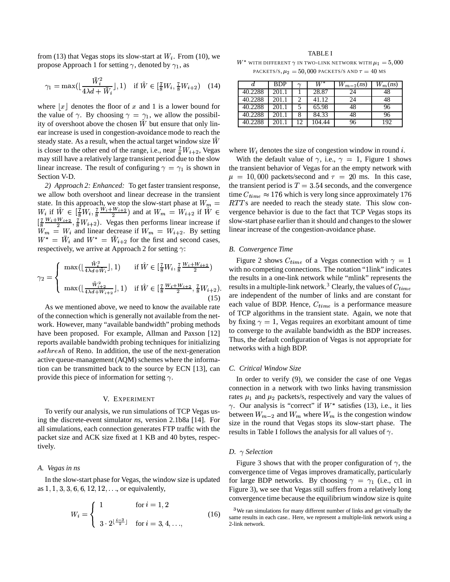from (13) that Vegas stops its slow-start at  $W_i$ . From (10), we propose Approach 1 for setting  $\gamma$ , denoted by  $\gamma_1$ , as

$$
\gamma_1 = \max\left(\lfloor \frac{\bar{W}_i^2}{4\lambda d + \bar{W}_i} \rfloor, 1\right) \quad \text{if } \hat{W} \in \left[\frac{7}{8}W_i, \frac{7}{8}W_{i+2}\right) \quad (14)
$$

where  $\lfloor x \rfloor$  denotes the floor of x and 1 is a lower bound for the value of  $\gamma$ . By choosing  $\gamma = \gamma_1$ , we allow the possibility of overshoot above the chosen  $\tilde{W}$  but ensure that only linear increase is used in congestion-avoidance mode to reach the steady state. As a result, when the actual target window size  $\hat{W}$ is closer to the other end of the range, i.e., near  $\frac{7}{8}W_{i+2}$ , Vegas may still have a relatively large transient period due to the slow linear increase. The result of configuring  $\gamma = \gamma_1$  is shown in Section V-D.

*2) Approach 2: Enhanced:* To get faster transient response, we allow both overshoot and linear decrease in the transient state. In this approach, we stop the slow-start phase at  $W_m = RTT s$  are 1  $W_i$  if  $\hat{W} \in \left[\frac{7}{8}W_i, \frac{7}{8}\frac{W_i + W_{i+2}}{2}\right)$  and  $\frac{W_i + W_{i+2}}{2}, \frac{7}{8}W_{i+2}$ ). Vegas then performs linear increase if ) and at  $W_m = W_{i+2}$  if  $\hat{W} \in \text{vergenc}$  $W_m = W_i$  and linear decrease if  $W_m = W_{i+2}$ . By setting  $W^* = \bar{W}_i$  and  $W^* = \bar{W}_{i+2}$  for the first and second cases, respectively, we arrive at Approach 2 for setting  $\gamma$ :

$$
\gamma_2 = \begin{cases} \max(\lfloor \frac{\bar{W}_i^2}{4\lambda d + \bar{W}_i} \rfloor, 1) & \text{if } \hat{W} \in [\frac{7}{8}W_i, \frac{7}{8}\frac{W_i + W_{i+2}}{2}) & \text{with} \\ \max(\lfloor \frac{\bar{W}_{i+2}^2}{4\lambda d + \bar{W}_{i+2}} \rfloor, 1) & \text{if } \hat{W} \in [\frac{7}{8}\frac{W_i + W_{i+2}}{2}, \frac{7}{8}W_{i+2}). & \text{res} \\ (15) & \text{are} \end{cases}
$$

As we mentioned above, we need to know the available rate of the connection which is generally not available from the network. However, many "available bandwidth" probing methods have been proposed. For example, Allman and Paxson [12] reports available bandwidth probing techniques for initializing  $ssthresh$  of Reno. In addition, the use of the next-generation active queue-management(AQM) schemes where the information can be transmitted back to the source by ECN [13], can provide this piece of information for setting  $\gamma$ .

## V. EXPERIMENT

To verify our analysis, we run simulations of TCP Vegas using the discrete-event simulator *ns*, version 2.1b8a [14]. For all simulations, each connection generates FTP traffic with the packet size and ACK size fixed at 1 KB and 40 bytes, respectively.

## *A. Vegas in ns*

In the slow-start phase for Vegas, the window size is updated as  $1, 1, 3, 3, 6, 6, 12, 12, \ldots$ , or equivalently,

$$
W_i = \begin{cases} 1 & \text{for } i = 1, 2 \\ 3 \cdot 2^{\lfloor \frac{i-3}{2} \rfloor} & \text{for } i = 3, 4, ..., \end{cases}
$$
(16)

TABLE I  $W^*$  with different  $\gamma$  in two-link network with  $\mu_1 = 5,000$ 

| PACKETS/S, $\mu_2 = 50$ , 000 PACKETS/S AND $\tau = 40$ MS |
|------------------------------------------------------------|
|------------------------------------------------------------|

|         | <b>BDP</b> | $\sim$ |        | $W_{m-2}(ns)$ | $\overline{W}_m$ (ns) |
|---------|------------|--------|--------|---------------|-----------------------|
| 40.2288 | 201.1      |        | 28.87  | 24            | 48                    |
| 40.2288 | 201.1      |        | 41.12  | 24            | 48                    |
| 40.2288 | 201.1      |        | 65.98  | 48            | 96                    |
| 40.2288 | 201.1      | 8      | 84.33  | 48            | 96                    |
| 40.2288 | 201.       |        | 104.44 | 96            | 192                   |

where  $W_i$  denotes the size of congestion window in round i.

With the default value of  $\gamma$ , i.e.,  $\gamma = 1$ , Figure 1 shows the transient behavior of Vegas for an the empty network with  $\mu = 10,000$  packets/second and  $\tau = 20$  ms. In this case, the transient period is  $T = 3.54$  seconds, and the convergence time  $C_{time} \approx 176$  which is very long since approximately 176  $RTT$ s are needed to reach the steady state. This slow convergence behavior is due to the fact that TCP Vegas stops its slow-start phase earlier than it should and changes to the slower linear increase of the congestion-avoidance phase.

### *B. Convergence Time*

esults in a multiple-link network.<sup>3</sup> Clearly, the values of  $C_{time}$ Figure 2 shows  $C_{time}$  of a Vegas connection with  $\gamma = 1$ with no competing connections. The notation "1link" indicates the results in a one-link network while "mlink" represents the are independent of the number of links and are constant for each value of BDP. Hence,  $C_{time}$  is a performance measure of TCP algorithms in the transient state. Again, we note that by fixing  $\gamma = 1$ , Vegas requires an exorbitant amount of time to converge to the available bandwidth as the BDP increases. Thus, the default configuration of Vegas is not appropriate for networks with a high BDP.

# *C. Critical Window Size*

In order to verify (9), we consider the case of one Vegas connection in a network with two links having transmission rates  $\mu_1$  and  $\mu_2$  packets/s, respectively and vary the values of  $\gamma$ . Our analysis is "correct" if  $W^*$  satisfies (13), i.e., it lies between  $W_{m-2}$  and  $W_m$  where  $W_m$  is the congestion window size in the round that Vegas stops its slow-start phase. The results in Table I follows the analysis for all values of  $\gamma$ .

# *D. Selection*

Figure 3 shows that with the proper configuration of  $\gamma$ , the convergence time of Vegas improves dramatically, particularly for large BDP networks. By choosing  $\gamma = \gamma_1$  (i.e., ct1 in Figure 3), we see that Vegas still suffers from a relatively long convergence time because the equilibrium window size is quite

<sup>&</sup>lt;sup>3</sup>We ran simulations for many different number of links and get virtually the same results in each case.. Here, we represent a multiple-link network using a 2-link network.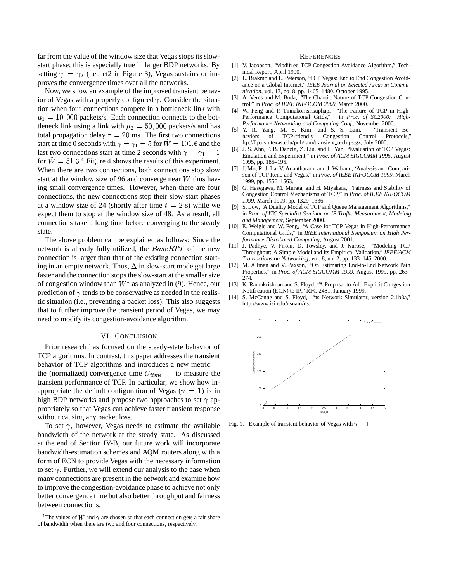far from the value of the window size that Vegas stops its slowstart phase; this is especially true in larger BDP networks. By setting  $\gamma = \gamma_2$  (i.e., ct2 in Figure 3), Vegas sustains or improves the convergence times over all the networks.

Now, we show an example of the improved transient behavior of Vegas with a properly configured  $\gamma$ . Consider the situation when four connections compete in a bottleneck link with  $\mu_1 = 10,000$  packets/s. Each connection connects to the bottleneck link using a link with  $\mu_2 = 50,000$  packets/s and has total propagation delay  $\tau = 20$  ms. The first two connections start at time 0 seconds with  $\gamma = \gamma_1 = 5$  for  $W = 101.6$  and the last two connections start at time 2 seconds with  $\gamma = \gamma_1 = 1$  [[CIII] J. S. A for  $\hat{W} = 51.3$ .<sup>4</sup> Figure 4 shows the results of this experiment. When there are two connections, both connections stop slow start at the window size of 96 and converge near  $\hat{W}$  thus having small convergence times. However, when there are four connections, the new connections stop their slow-start phases at a window size of 24 (shortly after time  $t = 2$  s) while we expect them to stop at the window size of 48. As a result, all connections take a long time before converging to the steady state.

The above problem can be explained as follows: Since the network is already fully utilized, the  $BaseRTT$  of the new connection is larger than that of the existing connection starting in an empty network. Thus,  $\Delta$  in slow-start mode get large faster and the connection stops the slow-start at the smaller size of congestion window than  $W^*$  as analyzed in (9). Hence, our prediction of  $\gamma$  tends to be conservative as needed in the realistic situation (i.e., preventing a packet loss). This also suggests that to further improve the transient period of Vegas, we may need to modify its congestion-avoidance algorithm.

# VI. CONCLUSION

Prior research has focused on the steady-state behavior of TCP algorithms. In contrast, this paper addresses the transient behavior of TCP algorithms and introduces a new metric the (normalized) convergence time  $C_{time}$  — to measure the transient performance of TCP. In particular, we show how inappropriate the default configuration of Vegas ( $\gamma = 1$ ) is in high BDP networks and propose two approaches to set  $\gamma$  appropriately so that Vegas can achieve faster transient response without causing any packet loss.

To set  $\gamma$ , however, Vegas needs to estimate the available bandwidth of the network at the steady state. As discussed at the end of Section IV-B, our future work will incorporate bandwidth-estimation schemes and AQM routers along with a form of ECN to provide Vegas with the necessary information to set  $\gamma$ . Further, we will extend our analysis to the case when many connections are present in the network and examine how to improve the congestion-avoidance phase to achieve not only better convergence time but also better throughput and fairness between connections.

#### **REFERENCES**

- [1] V. Jacobson, 'Modified TCP Congestion Avoidance Algorithm," Technical Report, April 1990.
- [2] L. Brakmo and L. Peterson, "TCP Vegas: End to End Congestion Avoidance on a Global Internet," *IEEE Journal on Selected Areas in Communication*, vol. 13, no. 8, pp. 1465–1480, October 1995.
- [3] A. Veres and M. Boda, "The Chaotic Nature of TCP Congestion Control," in *Proc. of IEEE INFOCOM 2000*, March 2000.
- [4] W. Feng and P. Tinnakornsrisuphap, "The Failure of TCP in High-Performance Computational Grids," in *Proc. of SC2000: High-Performance Networking and Computing Conf.*, November 2000.
- [5] Y. R. Yang, M. S. Kim, and S. S. Lam, "Transient Behaviors of TCP-friendly Congestion Control Protocols," ftp://ftp.cs.utexas.edu/pub/lam/transient\_tech.ps.gz, July 2000.
- [6] J. S. Ahn, P. B. Danzig, Z. Liu, and L. Yan, "Evaluation of TCP Vegas: Emulation and Experiment," in *Proc. of ACM SIGCOMM 1995*, August 1995, pp. 185–195.
- [7] J. Mo, R. J. La, V. Anantharam, and J. Walrand, "Analysis and Comparison of TCP Reno and Vegas," in *Proc. of IEEE INFOCOM 1999*, March 1999, pp. 1556–1563.
- [8] G. Hasegawa, M. Murata, and H. Miyahara, "Fairness and Stability of Congestion Control Mechanisms of TCP," in *Proc. of IEEE INFOCOM 1999*, March 1999, pp. 1329–1336.
- [9] S. Low, "A Duality Model of TCP and Queue Management Algorithms," in *Proc. of ITC Specialist Seminar on IP Traffic Measurement, Modeling and Management*, September 2000.
- [10] E. Weigle and W. Feng, "A Case for TCP Vegas in High-Performance Computational Grids," in *IEEE International Symposium on High Performance Distributed Computing*, August 2001.
- [11] J. Padhye, V. Firoiu, D. Towsley, and J. Kurose, "Modeling TCP Throughput: A Simple Model and Its Empirical Validation," *IEEE/ACM Transactions on Networking*, vol. 8, no. 2, pp. 133–145, 2000.
- [12] M. Allman and V. Paxson, "On Estimating End-to-End Network Path Properties," in *Proc. of ACM SIGCOMM 1999*, August 1999, pp. 263– 274.
- [13] K. Ramakrishnan and S. Floyd, "A Proposal to Add Explicit Congestion Notification (ECN) to IP," RFC 2481, January 1999.
- [14] S. McCanne and S. Floyd, "hs Network Simulator, version 2.1b8a," http://www.isi.edu/nsnam/ns.



Fig. 1. Example of transient behavior of Vegas with  $\gamma = 1$ 

<sup>&</sup>lt;sup>4</sup>The values of  $\hat{W}$  and  $\gamma$  are chosen so that each connection gets a fair share of bandwidth when there are two and four connections, respectively.